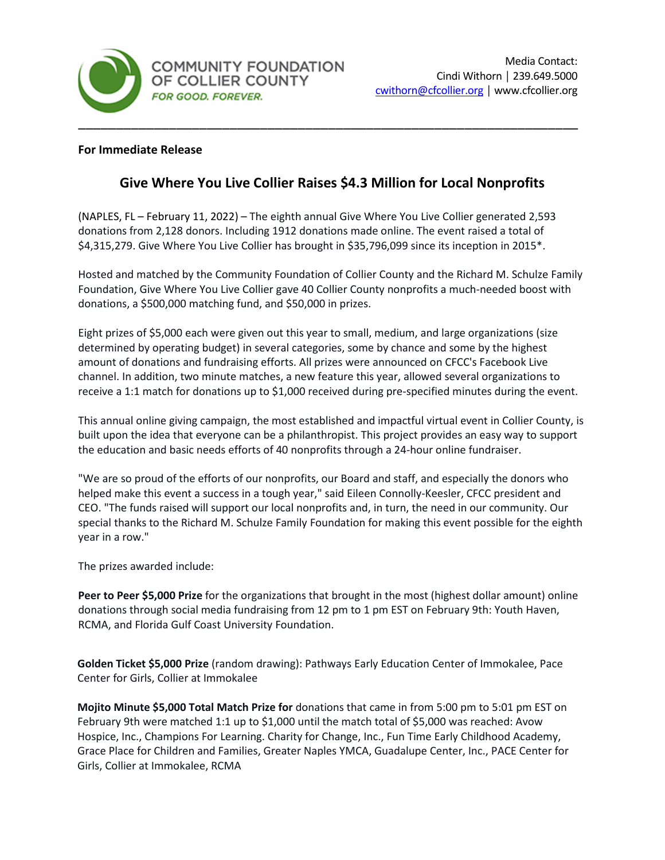

# **For Immediate Release**

# **Give Where You Live Collier Raises \$4.3 Million for Local Nonprofits**

(NAPLES, FL – February 11, 2022) – The eighth annual Give Where You Live Collier generated 2,593 donations from 2,128 donors. Including 1912 donations made online. The event raised a total of \$4,315,279. Give Where You Live Collier has brought in \$35,796,099 since its inception in 2015\*.

Hosted and matched by the Community Foundation of Collier County and the Richard M. Schulze Family Foundation, Give Where You Live Collier gave 40 Collier County nonprofits a much-needed boost with donations, a \$500,000 matching fund, and \$50,000 in prizes.

Eight prizes of \$5,000 each were given out this year to small, medium, and large organizations (size determined by operating budget) in several categories, some by chance and some by the highest amount of donations and fundraising efforts. All prizes were announced on CFCC's Facebook Live channel. In addition, two minute matches, a new feature this year, allowed several organizations to receive a 1:1 match for donations up to \$1,000 received during pre-specified minutes during the event.

This annual online giving campaign, the most established and impactful virtual event in Collier County, is built upon the idea that everyone can be a philanthropist. This project provides an easy way to support the education and basic needs efforts of 40 nonprofits through a 24-hour online fundraiser.

"We are so proud of the efforts of our nonprofits, our Board and staff, and especially the donors who helped make this event a success in a tough year," said Eileen Connolly-Keesler, CFCC president and CEO. "The funds raised will support our local nonprofits and, in turn, the need in our community. Our special thanks to the Richard M. Schulze Family Foundation for making this event possible for the eighth year in a row."

The prizes awarded include:

**Peer to Peer \$5,000 Prize** for the organizations that brought in the most (highest dollar amount) online donations through social media fundraising from 12 pm to 1 pm EST on February 9th: Youth Haven, RCMA, and Florida Gulf Coast University Foundation.

**Golden Ticket \$5,000 Prize** (random drawing): Pathways Early Education Center of Immokalee, Pace Center for Girls, Collier at Immokalee

**Mojito Minute \$5,000 Total Match Prize for** donations that came in from 5:00 pm to 5:01 pm EST on February 9th were matched 1:1 up to \$1,000 until the match total of \$5,000 was reached: Avow Hospice, Inc., Champions For Learning. Charity for Change, Inc., Fun Time Early Childhood Academy, Grace Place for Children and Families, Greater Naples YMCA, Guadalupe Center, Inc., PACE Center for Girls, Collier at Immokalee, RCMA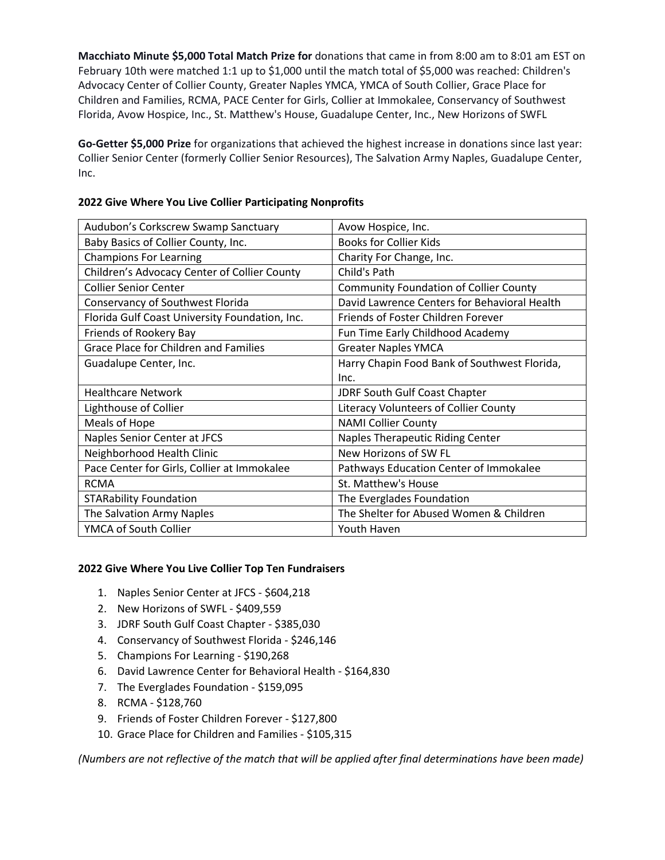**Macchiato Minute \$5,000 Total Match Prize for** donations that came in from 8:00 am to 8:01 am EST on February 10th were matched 1:1 up to \$1,000 until the match total of \$5,000 was reached: Children's Advocacy Center of Collier County, Greater Naples YMCA, YMCA of South Collier, Grace Place for Children and Families, RCMA, PACE Center for Girls, Collier at Immokalee, Conservancy of Southwest Florida, Avow Hospice, Inc., St. Matthew's House, Guadalupe Center, Inc., New Horizons of SWFL

**Go-Getter \$5,000 Prize** for organizations that achieved the highest increase in donations since last year: Collier Senior Center (formerly Collier Senior Resources), The Salvation Army Naples, Guadalupe Center, Inc.

| Audubon's Corkscrew Swamp Sanctuary            | Avow Hospice, Inc.                            |
|------------------------------------------------|-----------------------------------------------|
| Baby Basics of Collier County, Inc.            | <b>Books for Collier Kids</b>                 |
| <b>Champions For Learning</b>                  | Charity For Change, Inc.                      |
| Children's Advocacy Center of Collier County   | Child's Path                                  |
| <b>Collier Senior Center</b>                   | <b>Community Foundation of Collier County</b> |
| Conservancy of Southwest Florida               | David Lawrence Centers for Behavioral Health  |
| Florida Gulf Coast University Foundation, Inc. | Friends of Foster Children Forever            |
| Friends of Rookery Bay                         | Fun Time Early Childhood Academy              |
| <b>Grace Place for Children and Families</b>   | <b>Greater Naples YMCA</b>                    |
| Guadalupe Center, Inc.                         | Harry Chapin Food Bank of Southwest Florida,  |
|                                                | Inc.                                          |
| <b>Healthcare Network</b>                      | <b>JDRF South Gulf Coast Chapter</b>          |
| Lighthouse of Collier                          | Literacy Volunteers of Collier County         |
| Meals of Hope                                  | <b>NAMI Collier County</b>                    |
| Naples Senior Center at JFCS                   | <b>Naples Therapeutic Riding Center</b>       |
| Neighborhood Health Clinic                     | New Horizons of SW FL                         |
| Pace Center for Girls, Collier at Immokalee    | Pathways Education Center of Immokalee        |
| <b>RCMA</b>                                    | St. Matthew's House                           |
| <b>STARability Foundation</b>                  | The Everglades Foundation                     |
| The Salvation Army Naples                      | The Shelter for Abused Women & Children       |
| YMCA of South Collier                          | Youth Haven                                   |

## **2022 Give Where You Live Collier Participating Nonprofits**

#### **2022 Give Where You Live Collier Top Ten Fundraisers**

- 1. Naples Senior Center at JFCS \$604,218
- 2. New Horizons of SWFL \$409,559
- 3. JDRF South Gulf Coast Chapter \$385,030
- 4. Conservancy of Southwest Florida \$246,146
- 5. Champions For Learning \$190,268
- 6. David Lawrence Center for Behavioral Health \$164,830
- 7. The Everglades Foundation \$159,095
- 8. RCMA \$128,760
- 9. Friends of Foster Children Forever \$127,800
- 10. Grace Place for Children and Families \$105,315

*(Numbers are not reflective of the match that will be applied after final determinations have been made)*